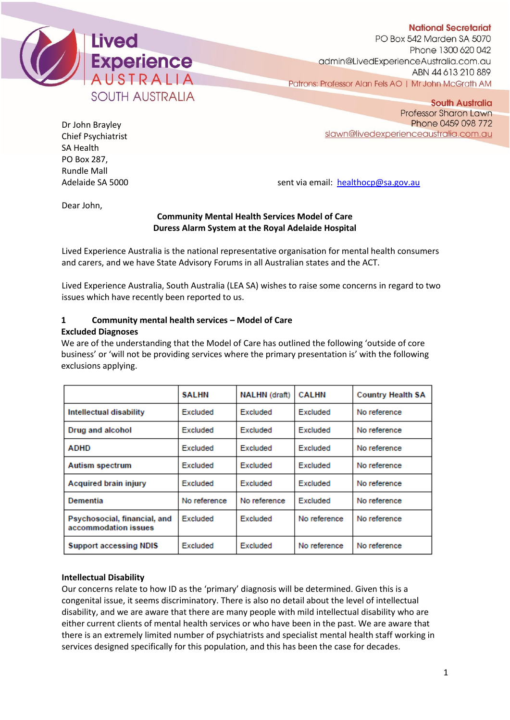

**National Secretariat** PO Box 542 Marden SA 5070 Phone 1300 620 042 admin@LivedExperienceAustralia.com.au ABN 44 613 210 889 Patrons: Professor Alan Fels AO | Mr John McGrath AM

Dr John Brayley Chief Psychiatrist SA Health PO Box 287, Rundle Mall

**South Australia** Professor Sharon Lawn Phone 0459 098 772 slawn@livedexperienceaustralia.com.au

Adelaide SA 5000 sent via email: [healthocp@sa.gov.au](mailto:healthocp@sa.gov.au)

Dear John,

## **Community Mental Health Services Model of Care Duress Alarm System at the Royal Adelaide Hospital**

Lived Experience Australia is the national representative organisation for mental health consumers and carers, and we have State Advisory Forums in all Australian states and the ACT.

Lived Experience Australia, South Australia (LEA SA) wishes to raise some concerns in regard to two issues which have recently been reported to us.

# **1 Community mental health services – Model of Care**

## **Excluded Diagnoses**

We are of the understanding that the Model of Care has outlined the following 'outside of core business' or 'will not be providing services where the primary presentation is' with the following exclusions applying.

|                                                      | <b>SALHN</b> | <b>NALHN</b> (draft) | <b>CALHN</b> | <b>Country Health SA</b> |
|------------------------------------------------------|--------------|----------------------|--------------|--------------------------|
| <b>Intellectual disability</b>                       | Excluded     | Excluded             | Excluded     | No reference             |
| Drug and alcohol                                     | Excluded     | Excluded             | Excluded     | No reference             |
| <b>ADHD</b>                                          | Excluded     | Excluded             | Excluded     | No reference             |
| Autism spectrum                                      | Excluded     | Excluded             | Excluded     | No reference             |
| <b>Acquired brain injury</b>                         | Excluded     | Excluded             | Excluded     | No reference             |
| Dementia                                             | No reference | No reference         | Excluded     | No reference             |
| Psychosocial, financial, and<br>accommodation issues | Excluded     | Excluded             | No reference | No reference             |
| <b>Support accessing NDIS</b>                        | Excluded     | Excluded             | No reference | No reference             |

## **Intellectual Disability**

Our concerns relate to how ID as the 'primary' diagnosis will be determined. Given this is a congenital issue, it seems discriminatory. There is also no detail about the level of intellectual disability, and we are aware that there are many people with mild intellectual disability who are either current clients of mental health services or who have been in the past. We are aware that there is an extremely limited number of psychiatrists and specialist mental health staff working in services designed specifically for this population, and this has been the case for decades.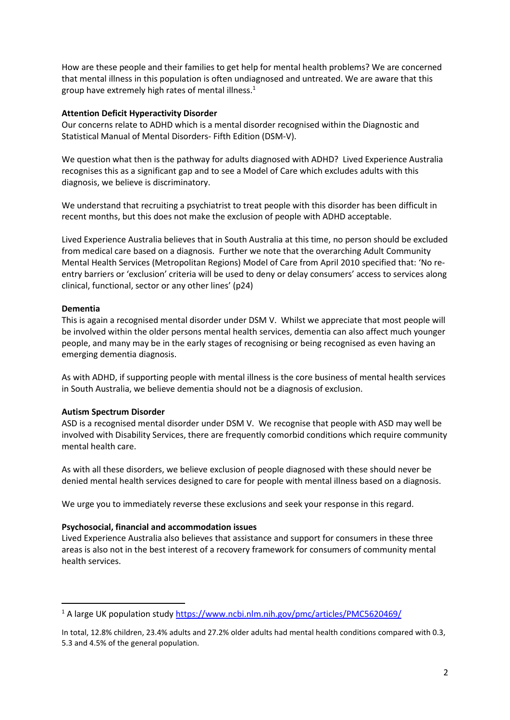How are these people and their families to get help for mental health problems? We are concerned that mental illness in this population is often undiagnosed and untreated. We are aware that this group have extremely high rates of mental illness. $1$ 

### **Attention Deficit Hyperactivity Disorder**

Our concerns relate to ADHD which is a mental disorder recognised within the Diagnostic and Statistical Manual of Mental Disorders- Fifth Edition (DSM-V).

We question what then is the pathway for adults diagnosed with ADHD? Lived Experience Australia recognises this as a significant gap and to see a Model of Care which excludes adults with this diagnosis, we believe is discriminatory.

We understand that recruiting a psychiatrist to treat people with this disorder has been difficult in recent months, but this does not make the exclusion of people with ADHD acceptable.

Lived Experience Australia believes that in South Australia at this time, no person should be excluded from medical care based on a diagnosis. Further we note that the overarching Adult Community Mental Health Services (Metropolitan Regions) Model of Care from April 2010 specified that: 'No reentry barriers or 'exclusion' criteria will be used to deny or delay consumers' access to services along clinical, functional, sector or any other lines' (p24)

### **Dementia**

This is again a recognised mental disorder under DSM V. Whilst we appreciate that most people will be involved within the older persons mental health services, dementia can also affect much younger people, and many may be in the early stages of recognising or being recognised as even having an emerging dementia diagnosis.

As with ADHD, if supporting people with mental illness is the core business of mental health services in South Australia, we believe dementia should not be a diagnosis of exclusion.

#### **Autism Spectrum Disorder**

ASD is a recognised mental disorder under DSM V. We recognise that people with ASD may well be involved with Disability Services, there are frequently comorbid conditions which require community mental health care.

As with all these disorders, we believe exclusion of people diagnosed with these should never be denied mental health services designed to care for people with mental illness based on a diagnosis.

We urge you to immediately reverse these exclusions and seek your response in this regard.

#### **Psychosocial, financial and accommodation issues**

Lived Experience Australia also believes that assistance and support for consumers in these three areas is also not in the best interest of a recovery framework for consumers of community mental health services.

<sup>1</sup> A large UK population study<https://www.ncbi.nlm.nih.gov/pmc/articles/PMC5620469/>

In total, 12.8% children, 23.4% adults and 27.2% older adults had mental health conditions compared with 0.3, 5.3 and 4.5% of the general population.